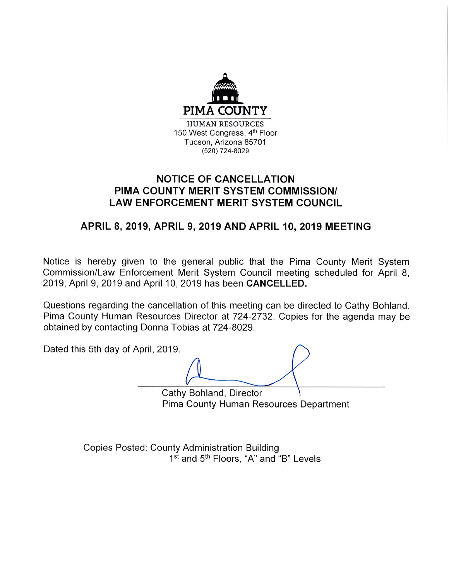

## **NOTICE OF CANCELLATION** PIMA COUNTY MERIT SYSTEM COMMISSION/ **LAW ENFORCEMENT MERIT SYSTEM COUNCIL**

# APRIL 8, 2019, APRIL 9, 2019 AND APRIL 10, 2019 MEETING

Notice is hereby given to the general public that the Pima County Merit System Commission/Law Enforcement Merit System Council meeting scheduled for April 8, 2019, April 9, 2019 and April 10, 2019 has been CANCELLED.

Questions regarding the cancellation of this meeting can be directed to Cathy Bohland, Pima County Human Resources Director at 724-2732. Copies for the agenda may be obtained by contacting Donna Tobias at 724-8029.

Dated this 5th day of April, 2019. Cathy Bohland, Director Pima County Human Resources Department

> **Copies Posted: County Administration Building** 1<sup>st</sup> and 5<sup>th</sup> Floors, "A" and "B" Levels